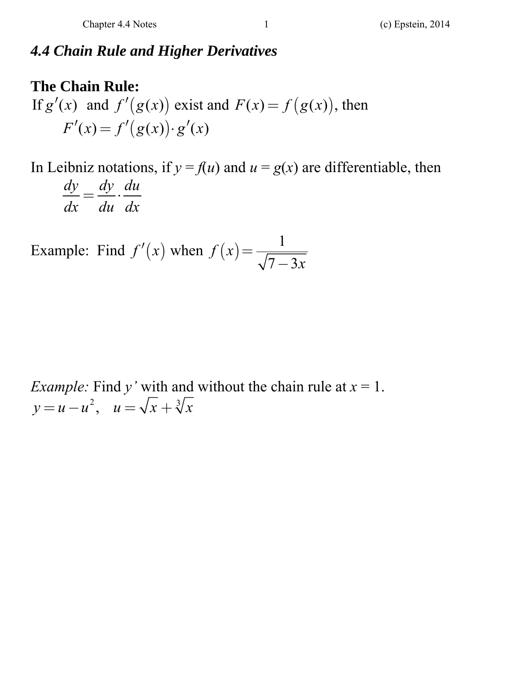### *4.4 Chain Rule and Higher Derivatives*

# **The Chain Rule:**  If  $g'(x)$  and  $f'(g(x))$  exist and  $F(x) = f(g(x))$ , then  $F'(x) = f'(g(x)) \cdot g'(x)$

In Leibniz notations, if  $y = f(u)$  and  $u = g(x)$  are differentiable, then *dy dy du*  $\frac{dy}{dx} = \frac{dy}{du} \cdot \frac{du}{dx}$ 

Example: Find  $f'(x)$  when  $f(x) = \frac{1}{\sqrt{2}}$  $f(x) = \frac{1}{\sqrt{7 - 3x}}$ 

*Example:* Find *y'* with and without the chain rule at  $x = 1$ .  $y = u - u^2$ ,  $u = \sqrt{x} + \sqrt[3]{x}$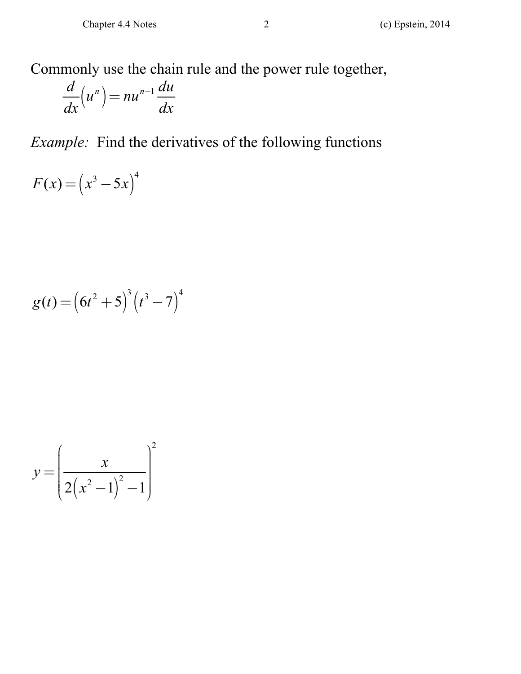Commonly use the chain rule and the power rule together,

$$
\frac{d}{dx}\left(u^n\right) = nu^{n-1}\frac{du}{dx}
$$

*Example:* Find the derivatives of the following functions

$$
F(x) = \left(x^3 - 5x\right)^4
$$

$$
g(t) = (6t^2 + 5)^3 (t^3 - 7)^4
$$

$$
y = \left(\frac{x}{2(x^2 - 1)^2 - 1}\right)^2
$$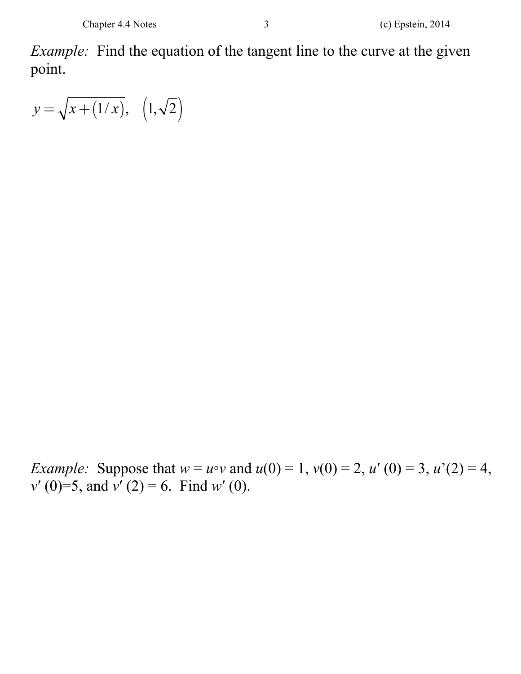*Example:* Find the equation of the tangent line to the curve at the given point.

 $y = \sqrt{x + (1/x)}, (1, \sqrt{2})$ 

*Example:* Suppose that  $w = u \circ v$  and  $u(0) = 1$ ,  $v(0) = 2$ ,  $u'(0) = 3$ ,  $u'(2) = 4$ , *v*′ (0)=5, and  $\overline{v}$ <sup>'</sup> (2) = 6. Find *w*<sup>'</sup> (0).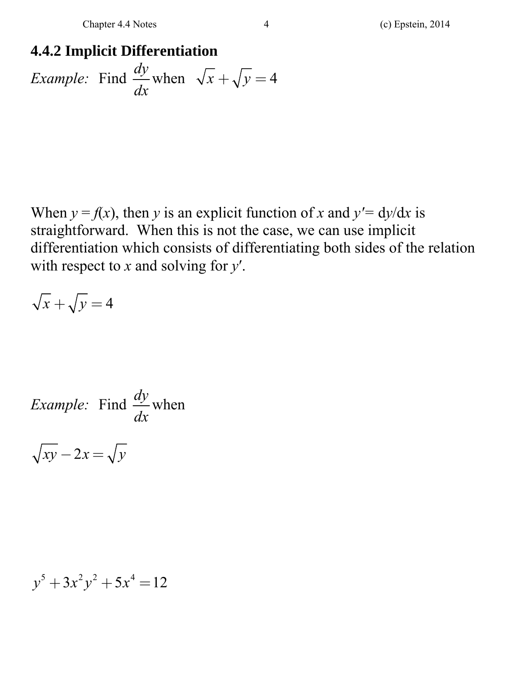## **4.4.2 Implicit Differentiation**  *Example:* Find  $\frac{dy}{dx}$  when  $\frac{dy}{dx}$  when  $\sqrt{x} + \sqrt{y} = 4$

When  $y = f(x)$ , then *y* is an explicit function of *x* and  $y' = dy/dx$  is straightforward. When this is not the case, we can use implicit differentiation which consists of differentiating both sides of the relation with respect to *x* and solving for *y*′.

$$
\sqrt{x} + \sqrt{y} = 4
$$

Example: Find 
$$
\frac{dy}{dx}
$$
 when

 $\sqrt{xy} - 2x = \sqrt{y}$ 

$$
y^5 + 3x^2y^2 + 5x^4 = 12
$$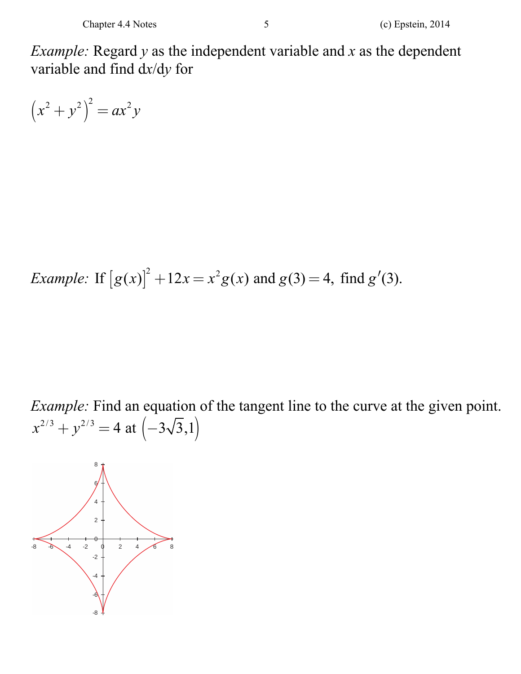*Example:* Regard *y* as the independent variable and *x* as the dependent variable and find d*x*/d*y* for

$$
(x^2 + y^2)^2 = ax^2y
$$

*Example*: If 
$$
[g(x)]^2 + 12x = x^2g(x)
$$
 and  $g(3) = 4$ , find  $g'(3)$ .

*Example:* Find an equation of the tangent line to the curve at the given point.  $(x^{2/3} + y^{2/3}) = 4$  at  $(-3\sqrt{3},1)$ 

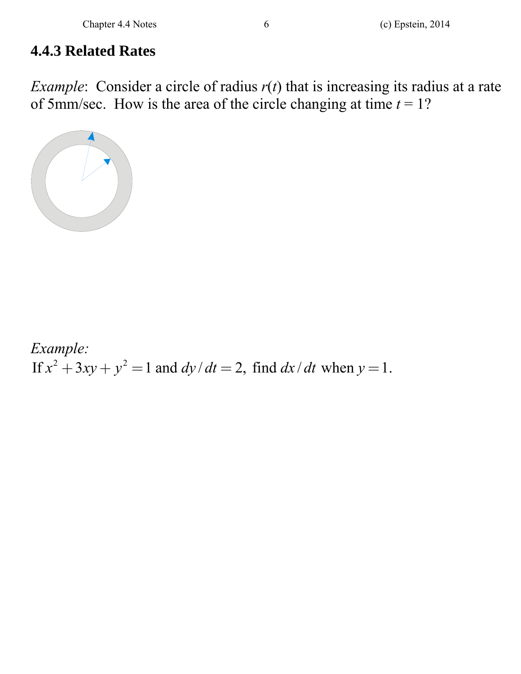### **4.4.3 Related Rates**

*Example*: Consider a circle of radius  $r(t)$  that is increasing its radius at a rate of 5mm/sec. How is the area of the circle changing at time  $t = 1$ ?



*Example:*  If  $x^2 + 3xy + y^2 = 1$  and  $dy/dt = 2$ , find  $dx/dt$  when  $y = 1$ .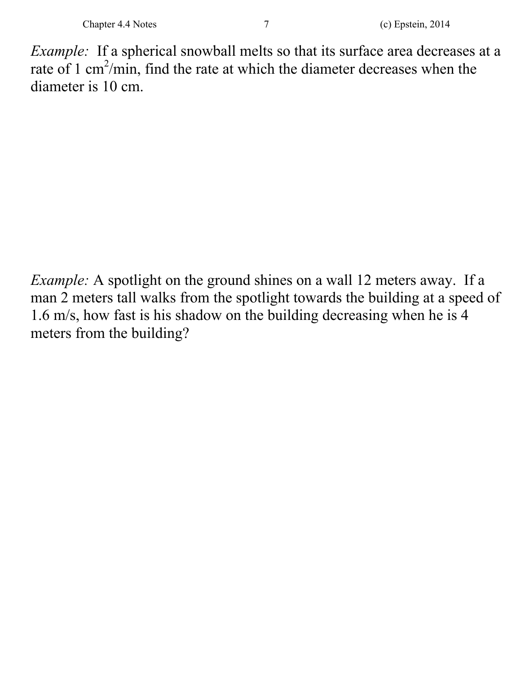*Example:* If a spherical snowball melts so that its surface area decreases at a rate of 1 cm<sup>2</sup>/min, find the rate at which the diameter decreases when the diameter is 10 cm.

*Example:* A spotlight on the ground shines on a wall 12 meters away. If a man 2 meters tall walks from the spotlight towards the building at a speed of 1.6 m/s, how fast is his shadow on the building decreasing when he is 4 meters from the building?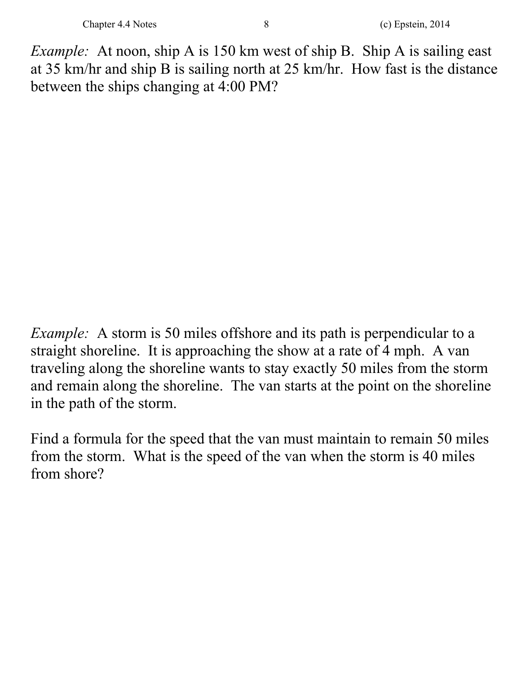*Example:* At noon, ship A is 150 km west of ship B. Ship A is sailing east at 35 km/hr and ship B is sailing north at 25 km/hr. How fast is the distance between the ships changing at 4:00 PM?

*Example:* A storm is 50 miles offshore and its path is perpendicular to a straight shoreline. It is approaching the show at a rate of 4 mph. A van traveling along the shoreline wants to stay exactly 50 miles from the storm and remain along the shoreline. The van starts at the point on the shoreline in the path of the storm.

Find a formula for the speed that the van must maintain to remain 50 miles from the storm. What is the speed of the van when the storm is 40 miles from shore?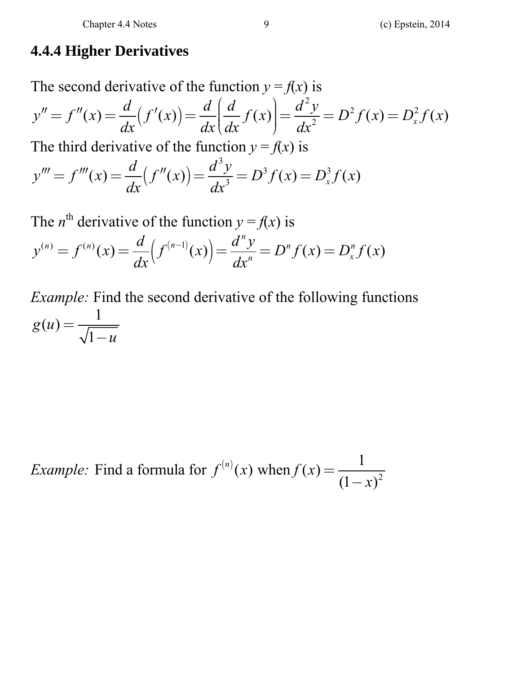#### **4.4.4 Higher Derivatives**

The second derivative of the function  $y = f(x)$  is  $(f'(x))$ 2  $\mathcal{L}(x) = \frac{u}{dx} (f'(x)) = \frac{u}{dx} \left| \frac{u}{dx} f(x) \right| = \frac{u}{dx^2} = D^2 f(x) = D_x^2 f(x)$  $y'' = f''(x) = \frac{d}{dx}(f'(x)) = \frac{d}{dx}(\frac{d}{dx}f(x)) = \frac{d^2y}{dx^2} = D^2f(x) = D_x^2f(x)$  $\left(\frac{d}{dx}f(x)\right)$ The third derivative of the function  $y = f(x)$  is  $(f''(x))$ 3  $\mathcal{L}(x) = \frac{a}{dx} (f''(x)) = \frac{a}{dx^3} = D^3 f(x) = D_x^3 f(x)$  $y''' = f'''(x) = \frac{d}{dx}(f''(x)) = \frac{d^3y}{dx^3} = D^3f(x) = D_x^3f(x)$  $f''' = f'''(x) = \frac{a}{f}(f''(x)) = \frac{a}{f} = D^3 f(x) =$ 

The *n*<sup>th</sup> derivative of the function 
$$
y = f(x)
$$
 is  
\n
$$
y^{(n)} = f^{(n)}(x) = \frac{d}{dx} (f^{(n-1)}(x)) = \frac{d^n y}{dx^n} = D^n f(x) = D^n_x f(x)
$$

*Example:* Find the second derivative of the following functions  $g(u) = \frac{1}{\sqrt{1 - u}}$ 

*Example:* Find a formula for  $f^{(n)}(x)$  when  $f(x) = \frac{1}{(1-x)^2}$ Find a formula for  $f^{(n)}(x)$  when  $f(x) = \frac{1}{(1-x)}$  $f^{(n)}(x)$  when  $f(x) = \frac{1}{(1-x)^2}$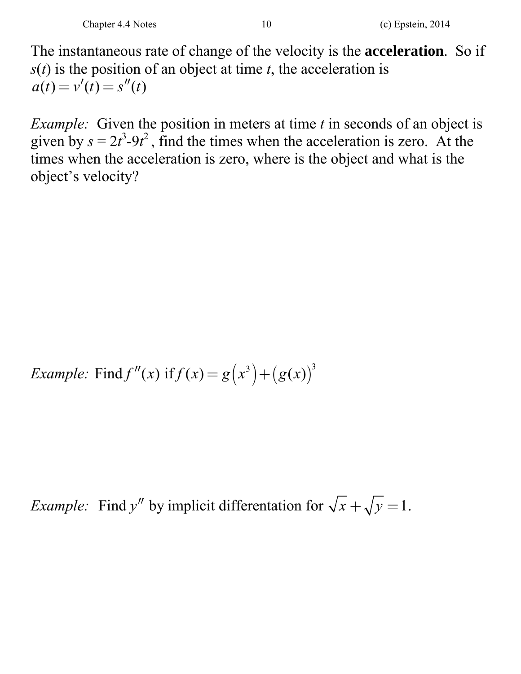The instantaneous rate of change of the velocity is the **acceleration**. So if *s*(*t*) is the position of an object at time *t*, the acceleration is  $a(t) = v'(t) = s''(t)$ 

*Example:* Given the position in meters at time *t* in seconds of an object is given by  $s = 2t^3 - 9t^2$ , find the times when the acceleration is zero. At the times when the acceleration is zero, where is the object and what is the object's velocity?

*Example:* Find  $f''(x)$  if  $f(x) = g(x^3) + (g(x))^3$ 

*Example:* Find y'' by implicit differentation for  $\sqrt{x} + \sqrt{y} = 1$ .